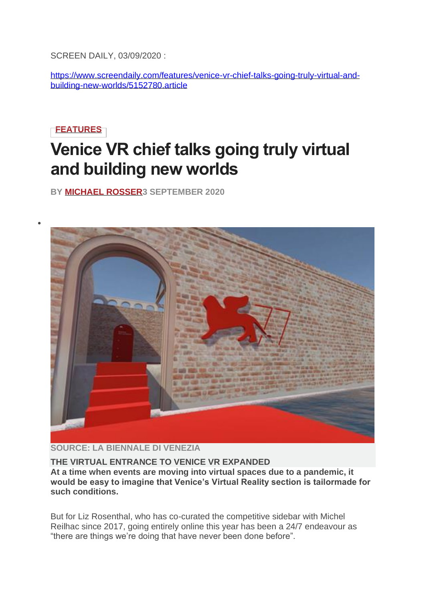SCREEN DAILY, 03/09/2020 :

[https://www.screendaily.com/features/venice-vr-chief-talks-going-truly-virtual-and](https://www.screendaily.com/features/venice-vr-chief-talks-going-truly-virtual-and-building-new-worlds/5152780.article)[building-new-worlds/5152780.article](https://www.screendaily.com/features/venice-vr-chief-talks-going-truly-virtual-and-building-new-worlds/5152780.article)

## **[FEATURES](https://www.screendaily.com/features)**

•

# **Venice VR chief talks going truly virtual and building new worlds**

**BY [MICHAEL ROSSER3](https://www.screendaily.com/michael-rosser/1100453.bio) SEPTEMBER 2020**



#### **SOURCE: LA BIENNALE DI VENEZIA**

#### **THE VIRTUAL ENTRANCE TO VENICE VR EXPANDED**

**At a time when events are moving into virtual spaces due to a pandemic, it would be easy to imagine that Venice's Virtual Reality section is tailormade for such conditions.**

But for Liz Rosenthal, who has co-curated the competitive sidebar with Michel Reilhac since 2017, going entirely online this year has been a 24/7 endeavour as "there are things we're doing that have never been done before".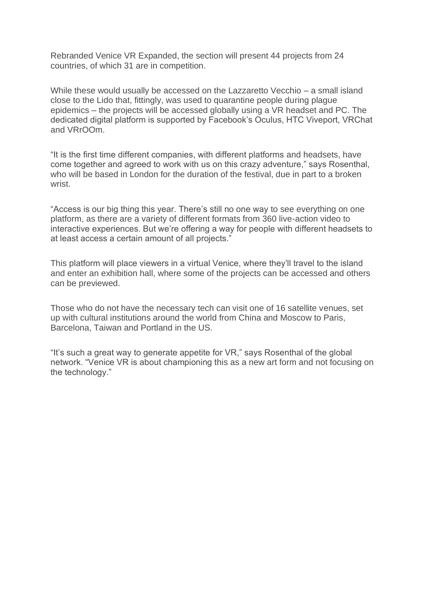Rebranded Venice VR Expanded, the section will present 44 projects from 24 countries, of which 31 are in competition.

While these would usually be accessed on the Lazzaretto Vecchio – a small island close to the Lido that, fittingly, was used to quarantine people during plague epidemics – the projects will be accessed globally using a VR headset and PC. The dedicated digital platform is supported by Facebook's Oculus, HTC Viveport, VRChat and VRrOOm.

"It is the first time different companies, with different platforms and headsets, have come together and agreed to work with us on this crazy adventure," says Rosenthal, who will be based in London for the duration of the festival, due in part to a broken wrist.

"Access is our big thing this year. There's still no one way to see everything on one platform, as there are a variety of different formats from 360 live-action video to interactive experiences. But we're offering a way for people with different headsets to at least access a certain amount of all projects."

This platform will place viewers in a virtual Venice, where they'll travel to the island and enter an exhibition hall, where some of the projects can be accessed and others can be previewed.

Those who do not have the necessary tech can visit one of 16 satellite venues, set up with cultural institutions around the world from China and Moscow to Paris, Barcelona, Taiwan and Portland in the US.

"It's such a great way to generate appetite for VR," says Rosenthal of the global network. "Venice VR is about championing this as a new art form and not focusing on the technology."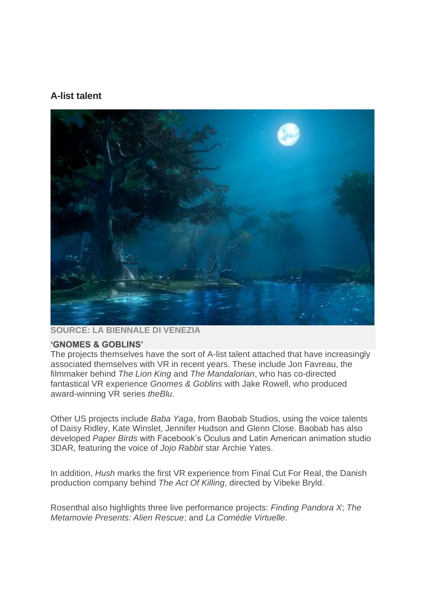### **A-list talent**



**SOURCE: LA BIENNALE DI VENEZIA**

#### **'GNOMES & GOBLINS'**

The projects themselves have the sort of A-list talent attached that have increasingly associated themselves with VR in recent years. These include Jon Favreau, the filmmaker behind *The Lion King* and *The Mandalorian*, who has co-directed fantastical VR experience *Gnomes & Goblins* with Jake Rowell, who produced award-winning VR series *theBlu*.

Other US projects include *Baba Yaga*, from Baobab Studios, using the voice talents of Daisy Ridley, Kate Winslet, Jennifer Hudson and Glenn Close. Baobab has also developed *Paper Birds* with Facebook's Oculus and Latin American animation studio 3DAR, featuring the voice of *Jojo Rabbit* star Archie Yates.

In addition, *Hush* marks the first VR experience from Final Cut For Real, the Danish production company behind *The Act Of Killing*, directed by Vibeke Bryld.

Rosenthal also highlights three live performance projects: *Finding Pandora X*; *The Metamovie Presents: Alien Rescue*; and *La Comédie Virtuelle*.